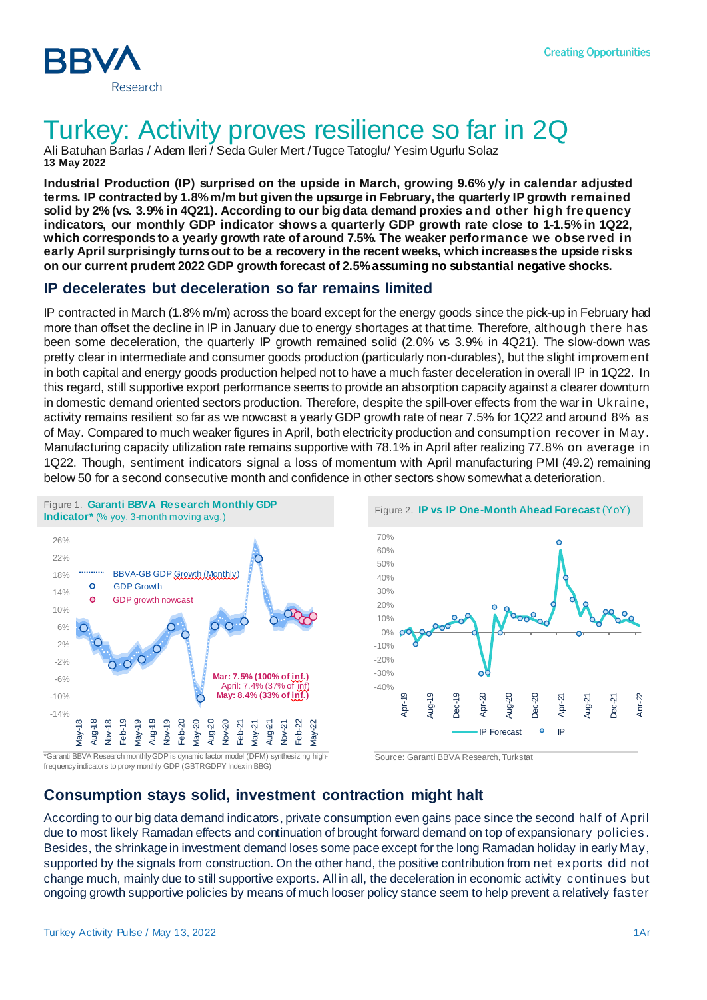

# Turkey: Activity proves resilience so far in 2Q

Ali Batuhan Barlas / Adem Ileri / Seda Guler Mert /Tugce Tatoglu/ Yesim Ugurlu Solaz **13 May 2022**

**Industrial Production (IP) surprised on the upside in March, growing 9.6% y/y in calendar adjusted terms. IP contracted by 1.8% m/m but given the upsurge in February, the quarterly IP growth remained solid by 2% (vs. 3.9% in 4Q21). According to our big data demand proxies and other high frequency indicators, our monthly GDP indicator shows a quarterly GDP growth rate close to 1-1.5% in 1Q22, which corresponds to a yearly growth rate of around 7.5%. The weaker performance we observed in early April surprisingly turns out to be a recovery in the recent weeks, which increases the upside risks on our current prudent 2022 GDP growth forecast of 2.5%assuming no substantial negative shocks.**

## **IP decelerates but deceleration so far remains limited**

IP contracted in March (1.8% m/m) across the board except for the energy goods since the pick-up in February had more than offset the decline in IP in January due to energy shortages at that time. Therefore, although there has been some deceleration, the quarterly IP growth remained solid (2.0% vs 3.9% in 4Q21). The slow-down was pretty clear in intermediate and consumer goods production (particularly non-durables), but the slight improvement in both capital and energy goods production helped not to have a much faster deceleration in overall IP in 1Q22. In this regard, still supportive export performance seems to provide an absorption capacity against a clearer downturn in domestic demand oriented sectors production. Therefore, despite the spill-over effects from the war in Ukraine, activity remains resilient so far as we nowcast a yearly GDP growth rate of near 7.5% for 1Q22 and around 8% as of May. Compared to much weaker figures in April, both electricity production and consumption recover in May. Manufacturing capacity utilization rate remains supportive with 78.1% in April after realizing 77.8% on average in 1Q22. Though, sentiment indicators signal a loss of momentum with April manufacturing PMI (49.2) remaining below 50 for a second consecutive month and confidence in other sectors show somewhat a deterioration.





\*Garanti BBVA Research monthly GDP is dynamic factor model (DFM) synthesizing highfrequency indicators to proxy monthly GDP (GBTRGDPY Index in BBG)



## **Consumption stays solid, investment contraction might halt**

According to our big data demand indicators, private consumption even gains pace since the second half of April due to most likely Ramadan effects and continuation of brought forward demand on top of expansionary policies . Besides, the shrinkage in investment demand loses some pace except for the long Ramadan holiday in early May, supported by the signals from construction. On the other hand, the positive contribution from net exports did not change much, mainly due to still supportive exports. All in all, the deceleration in economic activity continues but ongoing growth supportive policies by means of much looser policy stance seem to help prevent a relatively faster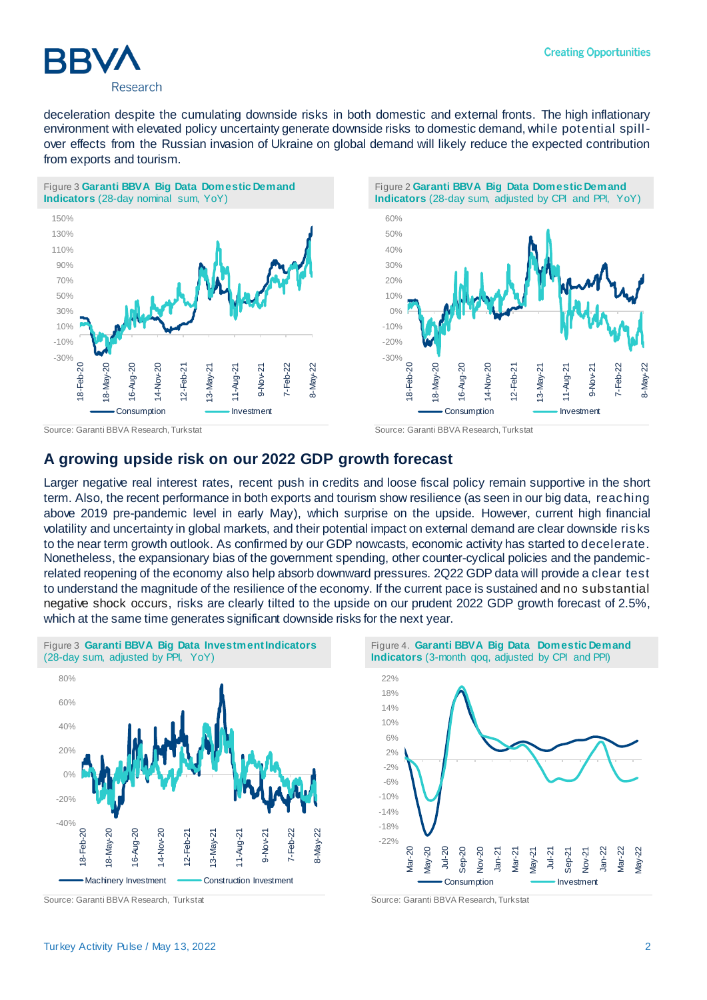

deceleration despite the cumulating downside risks in both domestic and external fronts. The high inflationary environment with elevated policy uncertainty generate downside risks to domestic demand, while potential spillover effects from the Russian invasion of Ukraine on global demand will likely reduce the expected contribution from exports and tourism.





Source: Garanti BBVA Research, Turkstat Source: Garanti BBVA Research, Turkstat

### **A growing upside risk on our 2022 GDP growth forecast**

Larger negative real interest rates, recent push in credits and loose fiscal policy remain supportive in the short term. Also, the recent performance in both exports and tourism show resilience (as seen in our big data, reaching above 2019 pre-pandemic level in early May), which surprise on the upside. However, current high financial volatility and uncertainty in global markets, and their potential impact on external demand are clear downside risks to the near term growth outlook. As confirmed by our GDP nowcasts, economic activity has started to decelerate. Nonetheless, the expansionary bias of the government spending, other counter-cyclical policies and the pandemicrelated reopening of the economy also help absorb downward pressures. 2Q22 GDP data will provide a clear test to understand the magnitude of the resilience of the economy. If the current pace is sustained and no substantial negative shock occurs, risks are clearly tilted to the upside on our prudent 2022 GDP growth forecast of 2.5%, which at the same time generates significant downside risks for the next year.



**Indicators** (3-month qoq, adjusted by CPI and PPI)

Figure 4. **Garanti BBVA Big Data Domestic Demand** 



Source: Garanti BBVA Research, Turkstat Source: Garanti BBVA Research, Turkstat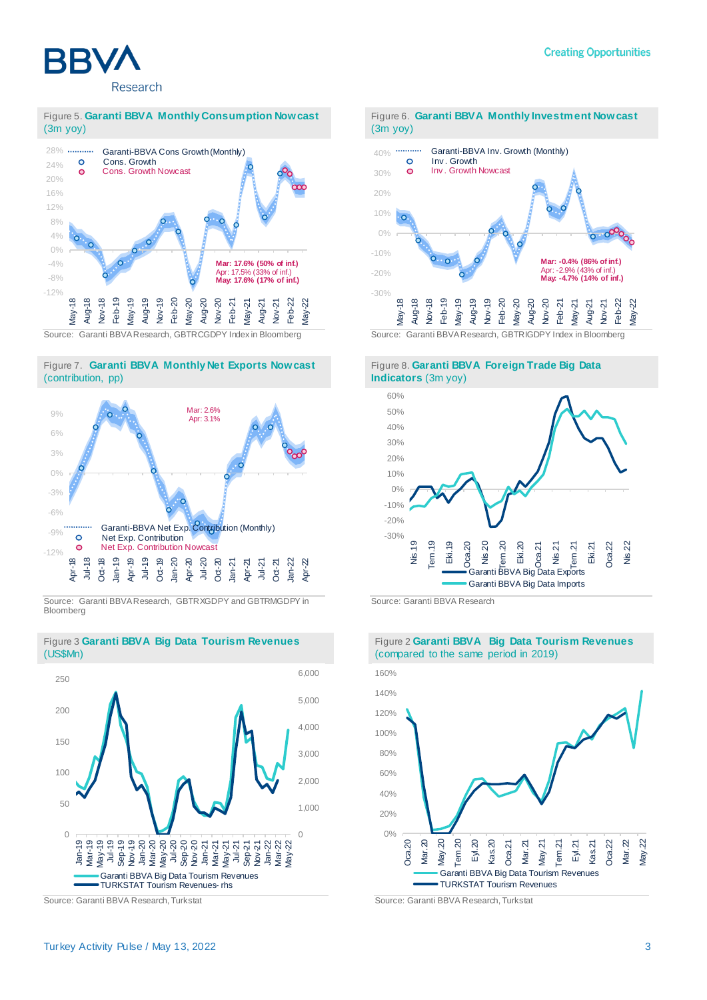

#### Figure 5. **Garanti BBVA Monthly Consumption Nowcast**  (3m yoy)



#### Figure 7. **Garanti BBVA Monthly Net Exports Nowcast**  (contribution, pp)



Source: Garanti BBVA Research, GBTRXGDPY and GBTRMGDPY in Bloomberg



Figure 3 **Garanti BBVA Big Data Tourism Revenues** (US\$Mn)

Source: Garanti BBVA Research, Turkstat Source: Garanti BBVA Research, Turkstat





#### Figure 8. **Garanti BBVA Foreign Trade Big Data Indicators** (3m yoy)



Source: Garanti BBVA Research



#### Figure 2 **Garanti BBVA Big Data Tourism Revenues**  (compared to the same period in 2019)